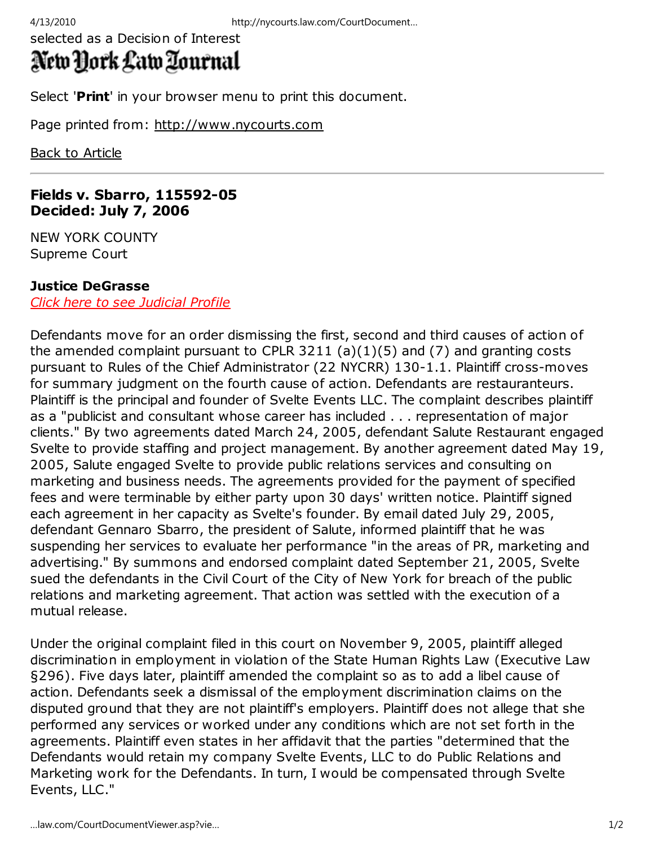selected as a Decision of Interest

# New York Law Zournal

Select '**Print**' in your browser menu to print this document.

Page printed from: http://www.nycourts.com

Back to Article

### **Fields v. Sbarro, 115592-05 Decided: July 7, 2006**

NEW YORK COUNTY Supreme Court

## **Justice DeGrasse**

*Click here to see Judicial Profile*

Defendants move for an order dismissing the first, second and third causes of action of the amended complaint pursuant to CPLR 3211 (a) $(1)(5)$  and  $(7)$  and granting costs pursuant to Rules of the Chief Administrator (22 NYCRR) 130-1.1. Plaintiff cross-moves for summary judgment on the fourth cause of action. Defendants are restauranteurs. Plaintiff is the principal and founder of Svelte Events LLC. The complaint describes plaintiff as a "publicist and consultant whose career has included . . . representation of major clients." By two agreements dated March 24, 2005, defendant Salute Restaurant engaged Svelte to provide staffing and project management. By another agreement dated May 19, 2005, Salute engaged Svelte to provide public relations services and consulting on marketing and business needs. The agreements provided for the payment of specified fees and were terminable by either party upon 30 days' written notice. Plaintiff signed each agreement in her capacity as Svelte's founder. By email dated July 29, 2005, defendant Gennaro Sbarro, the president of Salute, informed plaintiff that he was suspending her services to evaluate her performance "in the areas of PR, marketing and advertising." By summons and endorsed complaint dated September 21, 2005, Svelte sued the defendants in the Civil Court of the City of New York for breach of the public relations and marketing agreement. That action was settled with the execution of a mutual release.

Under the original complaint filed in this court on November 9, 2005, plaintiff alleged discrimination in employment in violation of the State Human Rights Law (Executive Law §296). Five days later, plaintiff amended the complaint so as to add a libel cause of action. Defendants seek a dismissal of the employment discrimination claims on the disputed ground that they are not plaintiff's employers. Plaintiff does not allege that she performed any services or worked under any conditions which are not set forth in the agreements. Plaintiff even states in her affidavit that the parties "determined that the Defendants would retain my company Svelte Events, LLC to do Public Relations and Marketing work for the Defendants. In turn, I would be compensated through Svelte Events, LLC."